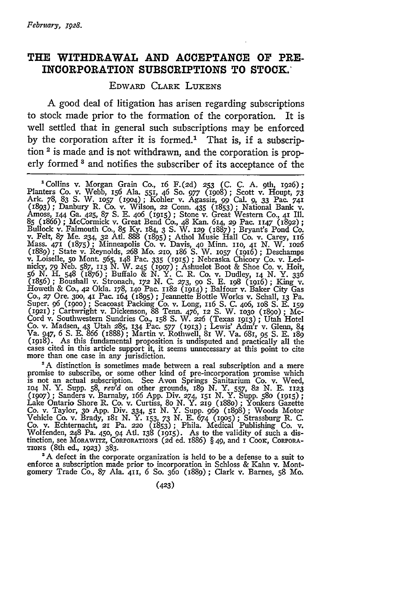## **THE WITHDRAWAL AND ACCEPTANCE OF PRE-INCORPORATION SUBSCRIPTIONS TO STOCK.\***

## EDWARD CLARK LuKENS

A good deal of litigation has arisen regarding subscriptions to stock made prior to the formation of the corporation. It is well settled that in general such subscriptions may be enforced by the corporation after it is formed.<sup>1</sup> That is, if a subscription 2 is made and is not withdrawn, and the corporation is properly formed **3** and notifies the subscriber of its acceptance of the

'Collins v. Morgan Grain Co., 16 F.(2d) **253** (C. C. A. 9th, 1926); Planters Co. v. Webb, 156 Ala. 551, 46 So. *977* (19o8); Scott v. Houpt, *73* Ark. 78, 83 S. W. **1057 (19o4);** Kohler v. Agassiz, **99** Cal. 9, 33 Pac. 741 (1893); Danbury R. Co. v. Wilson, 22 Conn. 435 (1853); National Bank v.<br>Amoss, 144 Ga. 425, 87 S. E. 406 (1915); Stone v. Great Western Co., 41 Ill.<br>85 (1866); McCormick v. Great Bend Co., 48 Kan. 614, 29 Pac. 1147 (1892) (1889); State v. Reynolds, 268 Mo. 2IO, 186 S. W. **1057** (1916); Deschamps v. Loiselle, **50** Mont **565,** 148 Pac. 335 (1915) **;** Nebraska Chicory Co. v. Lednicky, *79* Neb. 587, **113** N. W. 245 *(19o7)* **;** Ashuelot Boot & Shoe Co. v. Hoit, 56 N. H. 548 (1876); Buffalo & N. Y. C. R. Co. v. Dudley, 14 N. Y. 336<br>(1856); Boushall v. Stronach, 172 N. C. 273, 90 S. E. 198 (1916); King v.<br>Howeth & Co., 42 Okla. 178, 140 Pac. 1182 (1914); Balfour v. Baker City Gas Co., 27 Ore. 300, 41 Pac. 164 (1895); Jeannette Bottle Works v. Schall, 13 Pa.<br>Super. 96 (1900); Seacoast Packing Co. v. Long, 116 S. C. 406, 108 S. E. 159<br>(1921); Cartwright v. Dickenson, 88 Tenn. 476, 12 S. W. 1030 (1890 Cord v. Southwestern Sundries Co., 158 S. W. **226** (Texas 1913) **;** Utah Hotel Co. v. Madsen, **43** Utah 285, 134 Pac. 577 (1913) **;** Lewis' Adm'r v. Glenn, 84 Va. 947, *6* **S.** E. **866** (1888) ; Martin v. Rothwell, 81 W. Va. 681, *95* S. E. *189* (1918). As this fundamental proposition is undisputed and practically all the cases cited in this article support it, it seems unnecessary at this point to cite more than one case in any jurisdiction.

promise to subscribe, or some other kind of pre-incorporation promise which is not an actual subscription. See Avon Springs Sanitarium Co. v. Weed, **1O4** N. Y. Supp. **58,** *rev'd* on other grounds, 189 N. Y. 557, 82 N. E. 1123 *(1907);* Sanders v. Barnaby, 166 App. Div. 274, **151** *N.* Y. Supp. **580 (1915);** Lake Ontario Shore R. Co. v. Curtiss, 8o N. Y. **219** (i88o) ; Yonkers Gazette Co. v. Taylor, 3o App. Div. 334, 51 N. Y. Supp. 969 (1898); Woods Motor Vehicle Co. v. Brady, 181 N. Y. 153, 73 N. E. 674 (1905); Strassburg R. C.<br>Co. v. Echternacht, 21 Pa. 220 (1853); Phila. Medical Publishing Co. v.<br>Wolfenden, 248 Pa. 450, 94 Atl. 138 (1915). As to the validity of such a di **TIONS** (8th ed., **1923)** 383.

**'A** defect in the corporate organization is held to be a defense to a suit to enforce a subscription made prior to incorporation in Schloss & Kahn v. Montgomery Trade Co., 87 Ala. 411, *6* So. 36o (1889); Clark v. Barnes, **58** Mo.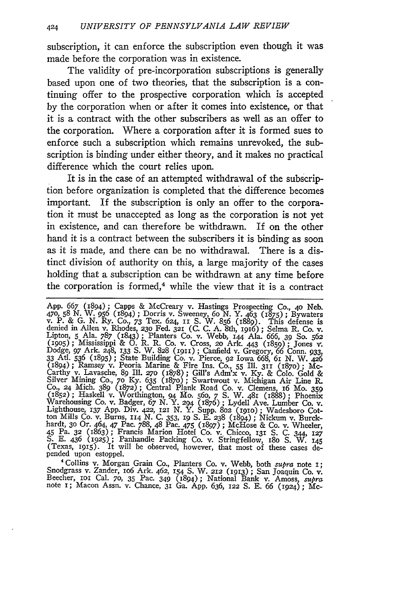subscription, it can enforce the subscription even though it was made before the corporation was in existence.

The validity of pre-incorporation subscriptions is generally based upon one of two theories, that the subscription is a continuing offer to the prospective corporation which is accepted by the corporation when or after it comes into existence, or that it is a contract with the other subscribers as well as an offer to the corporation. Where a corporation after it is formed sues to enforce such a subscription which remains unrevoked, the subscription is binding under either theory, and it makes no practical difference which the court relies upon.

It is in the case of an attempted withdrawal of the subscription before organization is completed that the difference becomes important. If the subscription is only an offer to the corporation it must be unaccepted as long as the corporation is not yet in existence, and can therefore be withdrawn. If on the other hand it is a contract between the subscribers it is binding as soon as it is made, and there can be no withdrawal. There is a distinct division of authority on this, a large majority of the cases holding that a subscription can be withdrawn at any time before the corporation is formed, $4$  while the view that it is a contract

App. 667 (1894); Capps & McCreary v. Hastings Prospecting Co., 40 Neb.<br>470, 58 N. W. 956 (1894); Dorris v. Sweeney, 60 N. Y. 463 (1875); Bywaters<br>v. P. & G. N. Ry. Co., 73 Tex. 624, 11 S. W. 856 (1889). This defense is denied in Allen v. Rhodes, 23o Fed. 321 (C. C. A. 8th, 1916) **;** Selma R. Co. v. Lipton, **5** Ala. 787 (1843); Planters Co. v. Webb, 144 Ala. 666, *39* So. 562 (1905); Mississippi & O. R. R. Co. v. Cross, 20 Ark. 443 (1859); Jones v.<br>Dodge, 97 Ark. 248, 133 S. W. 828 (1911); Canfield v. Gregory, 66 Conn. 933<br>33 Atl. 536 (1895); State Building Co. v. Pierce, 92 Iowa 668, 61 N. W. Carthy v. Lavasche, 89 Ill. 27o (1878); Gill's Adm'x v. **Ky.** & Colo. Gold & Silver Mining Co., 7o Ky. 635 (1870); Swartwout v. Michigan Air Line R. Co., 24 Mich. 389 (1872); Central Plank Road Co. v. Clemens, 16 Mo. 359 (1852); Haskell v. Worthington, 94 Mo. 56o, 7 **S.** W. 481 (1888); Phoenix Warehousing Co. v. Badger, *67* N. Y. 294 (1876); Lydell Ave. Lumber Co. v. Lighthouse, 137 App. Div. 422, **I2** N. Y. Supp. **802 (191o);** Wadesboro Cot-Let The Mills Co. v. Burns, 114 N. C. 353, 19 S. E. 238 (1894); Nickum v. Burck-<br>hardt, 30 Or. 464, 47 Pac. 788, 48 Pac. 475 (1897); McHose & Co. v. Wheeler,<br>45 Pa. 32 (1863); Francis Marion Hotel Co. v. Chicco. 131 S. C. S. E. 436 (1925); Panhandle Packing Co. v. Stringfellow, 180 S. W. 145<br>(Texas, 1915). It will be observed, however, that most of these cases de-<br>pended upon estoppel.

**"** Collins v. Morgan Grain Co., Planters Co. v. Webb, both supra note i; Snodgrass v. Zander, 106 Ark. 462, 154 S. W. 212 (1913); San Joaquin Co. v.<br>Beecher, 101 Cal. 70, 35 Pac. 349 (1894); National Bank v. Amoss, supra<br>note 1; Macon Assn. v. Chance, 31 Ga. App. 636, 122 S. E. 66 (1024): Mc-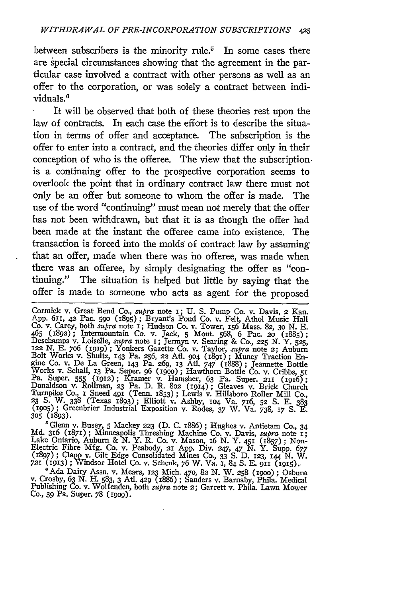between subscribers is the minority rule.<sup>5</sup> In some cases there are special circumstances showing that the agreement in the particular case involved a contract with other persons as well as an offer to the corporation, or was solely a contract between individuals.<sup>6</sup>

It will be observed that both of these theories rest upon the law of contracts. In each case the effort is to describe the situation in terms of offer and acceptance. The subscription is the offer to enter into a contract, and the theories differ only in their conception of who is the offeree. The view that the subscriptionis a continuing offer to the prospective corporation seems to overlook the point that in ordinary contract law there must not only be an offer but someone to whom the offer is made. The use of the word "continuing" must mean not merely that the offer has not been withdrawn, but that it is as though the offer had been made at the instant the offeree came into existence. The transaction is forced into the molds of contract law by assuming that an offer, made when there was ho offeree, was made when there was an offeree, by simply designating the offer as "continuing." The situation is helped but little by saying that the offer is made to someone who acts as agent for the proposed

Cormick v. Great Bend Co., *supra* note 1; U. S. Pump Co. v. Davis, 2 Kan.<br>App. 611, 42 Pac. 590 (1895); Bryant's Pond Co. v. Felt, Athol Music Hall<br>Co. v. Carey, both *supra* note 1; Hudson Co. v. Tower, 156 Mass. 82, 30 465 (1892); Intermountain Co. v. Jack, 5 Mont. 568, 6 Pac. 20 (1885);<br>Deschamps v. Loiselle, *supra* note 1; Jermyn v. Searing & Co., 225 N. Y. 525,<br>122 N. E. 706 (1919); Yonkers Gazette Co. v. Taylor, *supra* note 2; Aubu gine Co. v. De La Green, i43 Pa. 269, **13** Atl. *747* (i888); Jeannette Bottle Works v. Schall, 13 Pa. Super. 96 (1900); Hawthorn Bottle Co. v. Cribbs, 51<br>Pa. Super. 555 (1912); Kramer v. Hamsher, 63 Pa. Super. 211 (1916);<br>Donaldson v. Rollman, 23 Pa. D. R. 802 (1914); Gleaves v. Brick Church Turnpike Co., i Sneed **491** (Tenn. 1853) ; Lewis v. Hillsboro Roller Mill Co., **23** S. W. 338 (Texas 1893); Elliott v. Ashby, **104** Va. 716, **52 S.** E. 383 **(1905) ;** Greenbrier Industrial Exposition v. Rodes, 37 W. Va. 738, *i7* S. E. **305** (893).

'Glenn v. Busey, **5** Mackey **223** (D. C. 1886) ; Hughes v. Antietam Co., 34 **Md.** 316 (1871); Minneapolis Threshing Machine Co. v. Davis, *mtpra* note **x;** Lake Ontario, Auburn & *N.* Y. R. Co. v. Mason, i6 N. Y. **451** (I857); Non-Electric Fibre Mfg. Co. v. Peabody, **21** App. Div. 247, 47 N. Y. Supp. 677 (1897); Clapp v. Gilt Edge Consolidated Mines Co., 33 S. D. 123, **144** N. W. **<sup>721</sup>**(1913); Windsor Hotel Co. v. Schenk, 76 W. Va. 1, 84 S. E. gii (i9i5)..

'Ada Dairy Assn. v. Mears, **123** Mich. 470, 82 N. W. 258 (igoo) **;** Osburn v. Crosby, 63 **N.** H. 583, 3 Atl. 429 (I886) ; Sanders v. Barnaby, Phila. Medical Publishing Co. v. Wolfenden, both *supra* note 2; Garrett v. Phila. Lawn Mower<br>Co., 39 Pa. Super. 78 (1909).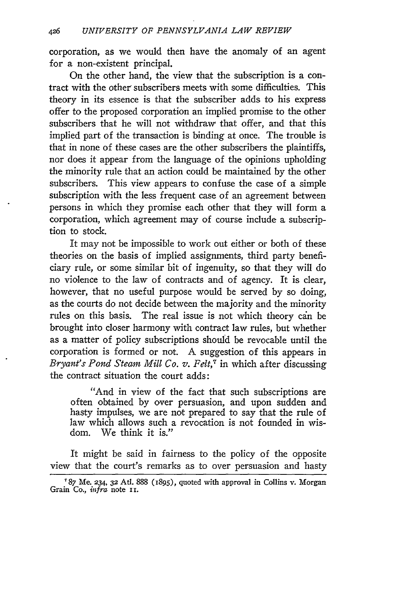corporation, as we would then have the anomaly of an agent for a non-existent principal.

On the other hand, the view that the subscription is a contract with the other subscribers meets with some difficulties. This theory in its essence is that the subscriber adds to his express offer to the proposed corporation an implied promise to the other subscribers that he will not withdraw that offer, and that this implied part of the transaction is binding at once. The trouble is that in none of these cases are the other subscribers the plaintiffs, nor does it appear from the language of the opinions upholding the minority rule that an action could be maintained by the other subscribers. This view appears to confuse the case of a simple subscription with the less frequent case of an agreement between persons in which they promise each other that they will form a corporation, which agreement may of course include a subscription to stock.

It may not be impossible to work out either or both of these theories on the basis of implied assignments, third party beneficiary rule, or some similar bit of ingenuity, so that they will do no violence to the law of contracts and of agency. It is clear, however, that no useful purpose would be served by so doing, as the courts do not decide between the majority and the minority rules on this basis. The real issue is not which theory can be brought into closer harmony with contract law rules, but whether as a matter of policy subscriptions should be revocable until the corporation is formed or not. A suggestion of this appears in *Bryant's Pond Steam Mill Co. v. Felt,7* in which after discussing the contract situation the court adds:

"And in view of the fact that such subscriptions are often obtained **by** over persuasion, and upon sudden and hasty impulses, we are not prepared to say that the rule of law which allows such a revocation is not founded in wisdom. We think it is."

It might be said in fairness to the policy of the opposite view that the court's remarks as to over persuasion and hasty

*<sup>&#</sup>x27;87* Me. 234, **32** AtI. 888 **(1895),** quoted with approval in Collins v. Morgan Grain Co., *infra* note ii.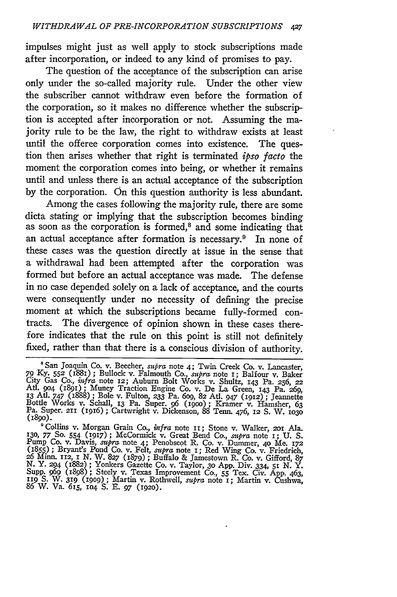impulses might just as well apply to stock subscriptions made after incorporation, or indeed to any kind of promises to pay.

The question of the acceptance of the subscription can arise only under the so-called majority rule. Under the other view the subscriber cannot withdraw even before the formation of the corporation, so it makes no difference whether the subscription is accepted after incorporation or not. Assuming the majority rule to be the law, the right to withdraw exists at least until the offeree corporation comes into existence. The question then arises whether that right is terminated *ipso facto* the moment the corporation comes into being, or whether it remains until and unless there is an actual acceptance of the subscription **by** the corporation. On this question authority is less abundant.

Among the cases following the majority rule, there are some dicta stating or implying that the subscription becomes binding as soon as the corporation is formed,<sup>8</sup> and some indicating that an actual acceptance after formation is necessary.<sup>9</sup> In none of these cases was the question directly at issue in the sense that a withdrawal had been attempted after the corporation was formed but before an actual acceptance was made. The defense in no case depended solely on a lack of acceptance, and the courts were consequently under no necessity of defining the precise moment at which the subscriptions became fully-formed contracts. The divergence of opinion shown in these cases therefore indicates that the rule on this point is still not definitely fixed, rather than that there is a conscious division of authority.

San Joaquin Co. v. Beecher, *supra* note 4; Twin Creek Co. v. Lancaster, 79 Ky. 552 (1881); Bullock v. Falmouth Co., supra note 1; Balfour v. Baker, City Gas Co., infra note 12; Auburn Bolt Works v. Shultz, 143 Pa. 256, 22<br>Atl. 904 (1891); Muncy Traction Engine Co. v. De La Green, 143 Pa. 269, Bottle Works v. Schall, **13** Pa. Super. *96* (igoo); Kramer v. Hamsher, **63** Pa. Super. **211 (1916) ;** Cartwright v. Dickenson, **88** Tenn. 476, **12 S.** W. **<sup>1030</sup> (89o).**

<sup>&</sup>lt;sup>9</sup> Collins v. Morgan Grain Co., *infra* note 11; Stone v. Walker, 201 Ala.<br>130, 77 So. 554 (1917); McCormick v. Great Bend Co., *supra* note 1; U. S.<br>Pump Co. v. Davis, *supra* note 4; Penobscot R. Co. v. Dummer, 40 Me. 1 **26 Minn. 112,** 1 **N.** W. **827 (879) ;** Buffalo **&** Jamestown R. **Co.** v. Gifford, **87** *N.* Y. **294 (1882) ;** Yonkers Gazette Co. v. Taylor, **30 App.** Div. 334, **51 N.** Y. Supp. 969 (1898); Steely v. Texas Improvement Co., 55 Tex. Civ. App. 463.<br>119 S. W. 319 (1909); Martin v. Rothwell, *supra* note 1; Martin v. Cushwa.<br>86 W. Va. 615, 104 S. E. 97 (1920).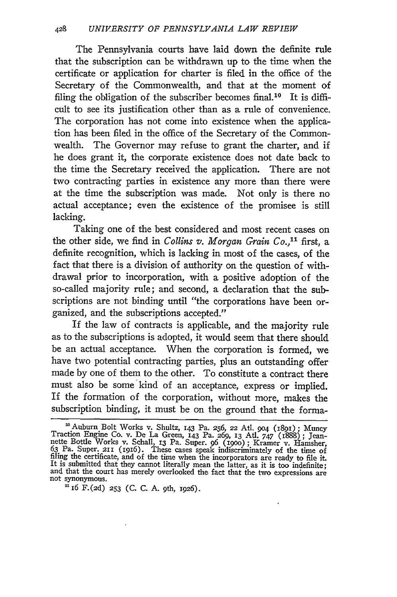The Pennsylvania courts have laid down the definite rule that the subscription can be withdrawn up to the time when the certificate or application for charter is filed in the office of the Secretary of the Commonwealth, and that at the moment of filing the obligation of the subscriber becomes final.<sup>10</sup> It is difficult to see its justification other than as a rule of convenience. The corporation has not come into existence when the application has been filed in the office of the Secretary of the Commonwealth. The Governor may refuse to grant the charter, and if he does grant it, the corporate existence does not date back to the time the Secretary received the application. There are not two contracting parties in existence any more than there were at the time the subscription was made. Not only is there no actual acceptance; even the existence of the promisee is still lacking.

Taking one of the best considered and most recent cases on the other side, we find in *Collins v. Morgan Grain Co.,"* first, a definite recognition, which is lacking in most of the cases, of the fact that there is a division of authority on the question of withdrawal prior to incorporation, with a positive adoption of the so-called majority rule; and second, a declaration that the subscriptions are not binding until "the corporations have been organized, and the subscriptions accepted."

If the law of contracts is applicable, and the majority rule as to the subscriptions is adopted, it would seem that there should be an actual acceptance. When the corporation is formed, we have two potential contracting parties, plus an outstanding offer made by one of them to the other. To constitute a contract there must also be some kind of an acceptance, express or implied. If the formation of the corporation, without more, makes the subscription binding, it must be on the ground that the forma-

<sup>0</sup> Auburn Bolt Works v. Shultz, 143 Pa. 256, 22 Atl. **904** (1891) ; Muncy Traction Engine Co. v. De La Green, 143 Pa. 269, 13 AtI. 747 (1888) ; Jeannette Bottle Works v. Schall, 13 Pa. Super. 96 (1900); Kramer v. Hamsher,<br>63 Pa. Super. 211 (1916). These cases speak indiscriminately of the time of filing the certificate, and of the time when the incorporators are ready to file it.<br>It is submitted that they cannot literally mean the latter, as it is too indefinite; and that the court has merely overlooked the fact that the two expressions are not synonymous. **16** F.(2d) **253** (C. C. A. 9th, **1926).**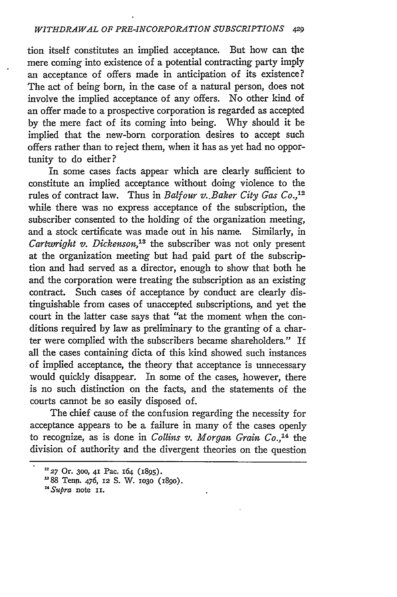tion itself constitutes an implied acceptance. But how can the mere coming into existence of a potential contracting party imply an acceptance of offers made in anticipation of its existence? The act of being born, in the case of a natural person, does not involve the implied acceptance of any offers. No other kind of an offer made to a prospective corporation is regarded as accepted by the mere fact of its coming into being. Why should it be implied that the new-born corporation desires to accept such offers rather than to reject them, when it has as yet had no opportunity to do either?

In some cases facts appear which are clearly sufficient to constitute an implied acceptance without doing violence to the rules of contract law. Thus in *Balfour v..Baker City Gas Co.,12* while there was no express acceptance of the subscription, the subscriber consented to the holding of the organization meeting, and a stock certificate was made out in his name. Similarly, in *Cartwright v. Dickenson,'3* the subscriber was not only present at the organization meeting but had paid part of the subscription and had served as a director, enough to show that both he and the corporation were treating the subscription as an existing contract. Such cases **Of** acceptance by conduct are clearly distinguishable from cases of unaccepted subscriptions, and yet the court in the latter case says that "at the moment when the conditions required by law as preliminary to the granting of a charter were complied with the subscribers became shareholders." If all the cases containing dicta of this kind showed such instances of implied acceptance, the theory that acceptance is unnecessary would quickly disappear. In some of the cases, however, there is no such distinction on the facts, and the statements of the courts cannot be so easily disposed of.

The chief cause of the confusion regarding the necessity for acceptance appears to be a failure in many of the cases openly to recognize, as is done in *Collins v. Morgan Grain Co.*<sup>14</sup> the division of authority and the divergent theories on the question

**<sup>227</sup>** Or. **300, 41** Pac. 164 (1895).

**<sup>&#</sup>x27;88** Tenn. 476, 12 S. W. **1030** (18go).

*<sup>&#</sup>x27;Supra* note **ii.**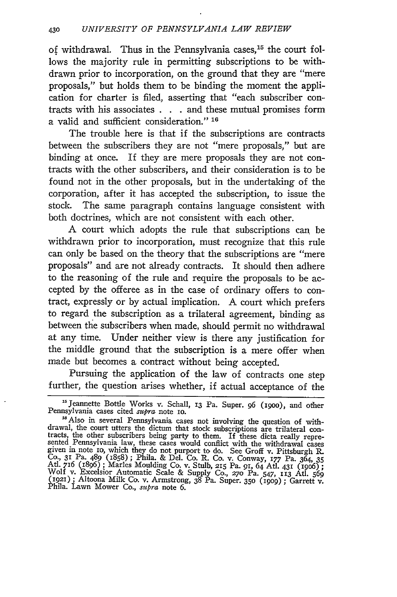of withdrawal. Thus in the Pennsylvania cases,<sup>15</sup> the court follows the majority rule in permitting subscriptions to be withdrawn prior to incorporation, on the ground that they are "mere proposals," but holds them to be binding the moment the application for charter is filed, asserting that "each subscriber contracts with his associates **. .** . and these mutual promises form a valid and sufficient consideration." **16**

The trouble here is that if the subscriptions are contracts between the subscribers they are not "mere proposals," but are binding at once. If they are mere proposals they are not contracts with the other subscribers, and their consideration is to be found not in the other proposals, but in the undertaking of the corporation, after it has accepted the subscription, to issue the stock. The same paragraph contains language consistent with both doctrines, which are not consistent with each other.

A court which adopts the rule that subscriptions can be withdrawn prior to incorporation, must recognize that this rule can only be based on the theory that the subscriptions are "mere proposals" and are not already contracts. It should then adhere to the reasoning of the rule and require the proposals to be accepted by the offeree as in the case of ordinary offers to contract, expressly or by actual implication. A court which prefers to regard the subscription as a trilateral agreement, binding as between the subscribers when made, should permit no withdrawal at any time. Under neither view is there any justification for the middle ground that the subscription is a mere offer when made but becomes a contract without being accepted.

Pursuing the application of the law of contracts one step further, the question arises whether, if actual acceptance of the

<sup>&</sup>lt;sup>15</sup> Jeannette Bottle Works v. Schall, 13 Pa. Super. 96 (1900), and other<br>Pennsylvania cases cited *supra* note 10. **"** Also in several Pennsylvania cases not involving the question of with-

drawal, the court utters the dictum that stock subscriptions are trilateral con-<br>tracts, the other subscribers being party to them. If these dicta really repre-<br>sented Pennsylvania law, these cases would conflict with the Co., 31 Pa. 489 (1858); Phila. & Del. Co. R. Co. v. Conway, *177* Pa. 364, 35 At. *716* (1896) ; Marles Moulding Co. v. Stulb, 215 Pa. *91,* 64 At. 431 (i9o6) **;** Wolf v. Excelsior Automatic Scale & Supply Co., 270 Pa. 547, 113 Atl. 569<br>(1921); Altoona Milk Co. v. Armstrong, 38 Pa. Super. 350 (1909); Garrett v.<br>Phila. Lawn Mower Co., *supra* note 6.